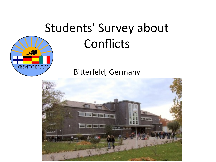# Students' Survey about **Conflicts**

Bitterfeld, Germany

HORIZON TO THE FUTURE

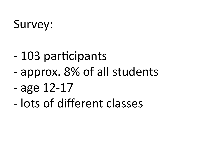# Survey:

- 103 participants
- approx. 8% of all students
- age 12-17
- lots of different classes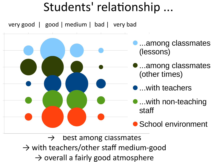### Students' relationship ...

very good | good | medium | bad | very bad



 $\rightarrow$  best among classmates

 $\rightarrow$  with teachers/other staff medium-good

 $\rightarrow$  overall a fairly good atmosphere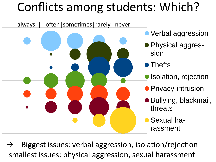# Conflicts among students: Which?



Biggest issues: verbal aggression, isolation/rejection smallest issues: physical aggression, sexual harassment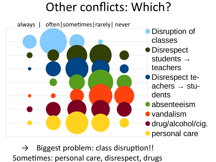# Other conflicts: Which?



Biggest problem: class disruption!! Sometimes: personal care, disrespect, drugs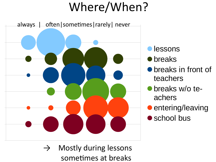# Where/When?



- **lessons**
- **•** breaks
- **•** breaks in front of teachers
- **•** breaks w/o teachers
- entering/leaving
- school bus

 $\rightarrow$  Mostly during lessons sometimes at breaks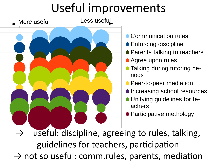# Useful improvements



- **Communication rules**
- **Enforcing discipline**
- Parents talking to teachers
- **Agree upon rules**
- **Talking during tutoring pe**riods
- **Peer-to-peer mediation**
- **Increasing school resources**
- **Unifying guidelines for te**achers
- Participative methology

 $\rightarrow$  useful: discipline, agreeing to rules, talking, guidelines for teachers, participation  $\rightarrow$  not so useful: comm.rules, parents, mediation